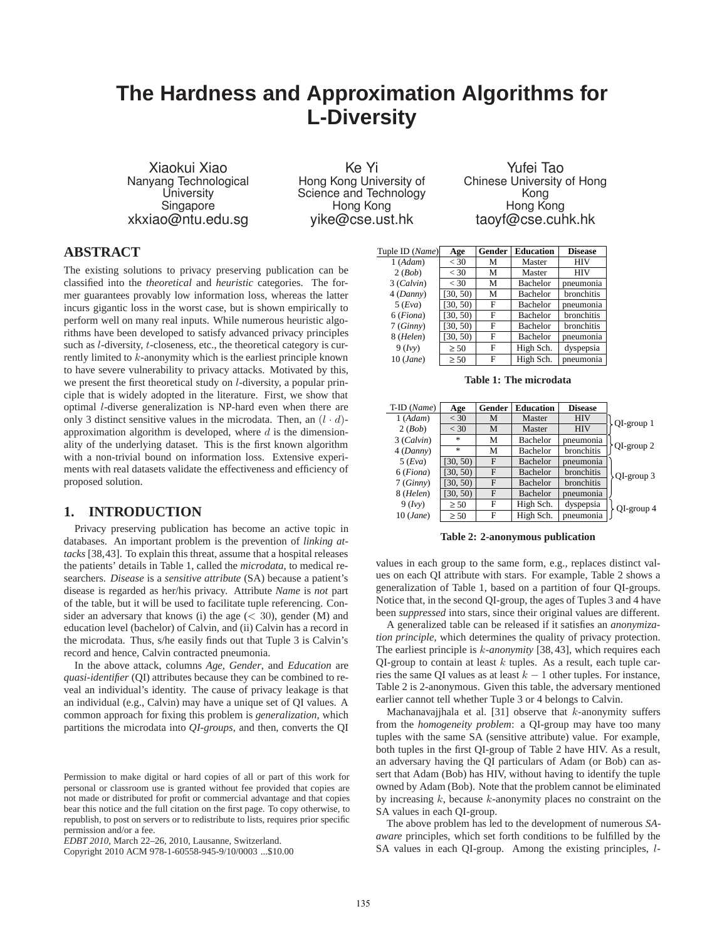# **The Hardness and Approximation Algorithms for L-Diversity**

Xiaokui Xiao Nanyang Technological **University** Singapore xkxiao@ntu.edu.sg

Ke Yi Hong Kong University of Science and Technology Hong Kong yike@cse.ust.hk

Yufei Tao Chinese University of Hong Kong Hong Kong taoyf@cse.cuhk.hk

# **ABSTRACT**

The existing solutions to privacy preserving publication can be classified into the *theoretical* and *heuristic* categories. The former guarantees provably low information loss, whereas the latter incurs gigantic loss in the worst case, but is shown empirically to perform well on many real inputs. While numerous heuristic algorithms have been developed to satisfy advanced privacy principles such as l-diversity, t-closeness, etc., the theoretical category is currently limited to k-anonymity which is the earliest principle known to have severe vulnerability to privacy attacks. Motivated by this, we present the first theoretical study on l-diversity, a popular principle that is widely adopted in the literature. First, we show that optimal l-diverse generalization is NP-hard even when there are only 3 distinct sensitive values in the microdata. Then, an  $(l \cdot d)$ approximation algorithm is developed, where  $d$  is the dimensionality of the underlying dataset. This is the first known algorithm with a non-trivial bound on information loss. Extensive experiments with real datasets validate the effectiveness and efficiency of proposed solution.

## **1. INTRODUCTION**

Privacy preserving publication has become an active topic in databases. An important problem is the prevention of *linking attacks* [38,43]. To explain this threat, assume that a hospital releases the patients' details in Table 1, called the *microdata*, to medical researchers. *Disease* is a *sensitive attribute* (SA) because a patient's disease is regarded as her/his privacy. Attribute *Name* is *not* part of the table, but it will be used to facilitate tuple referencing. Consider an adversary that knows (i) the age  $(< 30)$ , gender (M) and education level (bachelor) of Calvin, and (ii) Calvin has a record in the microdata. Thus, s/he easily finds out that Tuple 3 is Calvin's record and hence, Calvin contracted pneumonia.

In the above attack, columns *Age*, *Gender*, and *Education* are *quasi-identifier* (QI) attributes because they can be combined to reveal an individual's identity. The cause of privacy leakage is that an individual (e.g., Calvin) may have a unique set of QI values. A common approach for fixing this problem is *generalization*, which partitions the microdata into *QI-groups*, and then, converts the QI

Copyright 2010 ACM 978-1-60558-945-9/10/0003 ...\$10.00

| Tuple ID (Name) | Age       | Gender | <b>Education</b> | <b>Disease</b> |
|-----------------|-----------|--------|------------------|----------------|
| 1(Adam)         | $<$ 30    | М      | Master           | <b>HIV</b>     |
| 2 (Bob)         | $<$ 30    | M      | Master           | <b>HIV</b>     |
| $3$ (Calvin)    | < 30      | М      | Bachelor         | pneumonia      |
| 4 (Danny)       | [30, 50)  | M      | Bachelor         | bronchitis     |
| $5$ (Eva)       | [30, 50)  | F      | Bachelor         | pneumonia      |
| $6$ (Fiona)     | [30, 50)  | F      | <b>Bachelor</b>  | bronchitis     |
| 7(Ginnv)        | [30, 50)  | F      | <b>Bachelor</b>  | bronchitis     |
| 8 (Helen)       | [30, 50)  | F      | Bachelor         | pneumonia      |
| 9 (Ivv)         | $\geq 50$ | F      | High Sch.        | dyspepsia      |
| 10 (Jane)       | $\geq 50$ | F      | High Sch.        | pneumonia      |

**Table 1: The microdata**

| T-ID (Name) | Age       | Gender | <b>Education</b> | <b>Disease</b> |               |
|-------------|-----------|--------|------------------|----------------|---------------|
| 1(Adam)     | $<$ 30    | M      | Master           | <b>HIV</b>     | QI-group 1    |
| 2 (Bob)     | $<$ 30    | M      | Master           | <b>HIV</b>     |               |
| 3 (Calvin)  | *         | М      | <b>Bachelor</b>  | pneumonia      |               |
| 4(Danny)    | $\ast$    | М      | <b>Bachelor</b>  | bronchitis     | QI-group 2    |
| $5$ (Eva)   | [30, 50)  | F      | <b>Bachelor</b>  | pneumonia      |               |
| $6$ (Fiona) | [30, 50)  | F      | <b>Bachelor</b>  | bronchitis     | $QI$ -group 3 |
| 7(Ginnv)    | [30, 50)  | F      | <b>Bachelor</b>  | bronchitis     |               |
| 8 (Helen)   | [30, 50)  | F      | <b>Bachelor</b>  | pneumonia      |               |
| 9 (Ivv)     | $\geq 50$ | F      | High Sch.        | dyspepsia      | QI-group 4    |
| $10$ (Jane) | $\geq 50$ | F      | High Sch.        | pneumonia      |               |

#### **Table 2: 2-anonymous publication**

values in each group to the same form, e.g., replaces distinct values on each QI attribute with stars. For example, Table 2 shows a generalization of Table 1, based on a partition of four QI-groups. Notice that, in the second QI-group, the ages of Tuples 3 and 4 have been *suppressed* into stars, since their original values are different.

A generalized table can be released if it satisfies an *anonymization principle*, which determines the quality of privacy protection. The earliest principle is k*-anonymity* [38, 43], which requires each OI-group to contain at least  $k$  tuples. As a result, each tuple carries the same QI values as at least  $k - 1$  other tuples. For instance, Table 2 is 2-anonymous. Given this table, the adversary mentioned earlier cannot tell whether Tuple 3 or 4 belongs to Calvin.

Machanavajjhala et al. [31] observe that  $k$ -anonymity suffers from the *homogeneity problem*: a QI-group may have too many tuples with the same SA (sensitive attribute) value. For example, both tuples in the first QI-group of Table 2 have HIV. As a result, an adversary having the QI particulars of Adam (or Bob) can assert that Adam (Bob) has HIV, without having to identify the tuple owned by Adam (Bob). Note that the problem cannot be eliminated by increasing  $k$ , because  $k$ -anonymity places no constraint on the SA values in each QI-group.

The above problem has led to the development of numerous *SAaware* principles, which set forth conditions to be fulfilled by the SA values in each QI-group. Among the existing principles, l*-*

Permission to make digital or hard copies of all or part of this work for personal or classroom use is granted without fee provided that copies are not made or distributed for profit or commercial advantage and that copies bear this notice and the full citation on the first page. To copy otherwise, to republish, to post on servers or to redistribute to lists, requires prior specific permission and/or a fee.

*EDBT 2010*, March 22–26, 2010, Lausanne, Switzerland.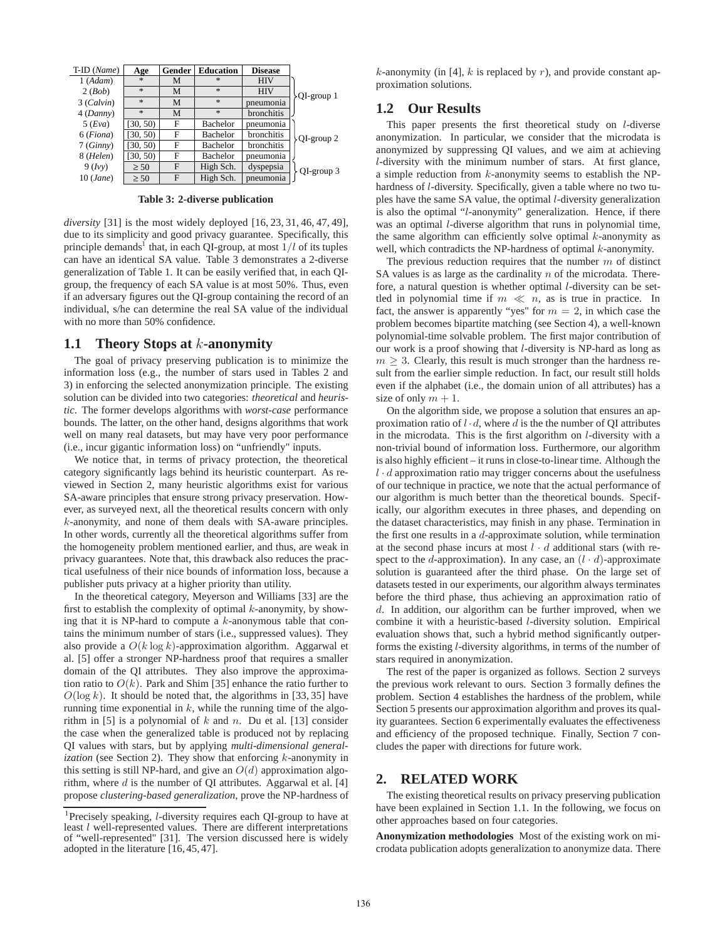| $T$ -ID (Name)        | Age       | Gender       | <b>Education</b> | <b>Disease</b>    |               |
|-----------------------|-----------|--------------|------------------|-------------------|---------------|
| 1(Adam)               | *         | М            | $\ast$           | <b>HIV</b>        |               |
| 2 (Bob)               | $\ast$    | M            | $\ast$           | <b>HIV</b>        | $QI$ -group 1 |
| $3$ ( <i>Calvin</i> ) | $\ast$    | M            | $\ast$           | pneumonia         |               |
| 4(Dannv)              | $\ast$    | M            | $\ast$           | bronchitis        |               |
| $5$ (Eva)             | [30, 50)  | F            | Bachelor         | pneumonia         |               |
| $6$ (Fiona)           | [30, 50)  | F            | <b>Bachelor</b>  | <b>bronchitis</b> | QI-group 2    |
| 7(Ginny)              | [30, 50)  | F            | Bachelor         | bronchitis        |               |
| 8 (Helen)             | [30, 50)  | F            | Bachelor         | pneumonia         |               |
| 9 (Ivy)               | $\geq 50$ | F            | High Sch.        | dyspepsia         | $QI$ -group 3 |
| $10$ (Jane)           | $\geq 50$ | $\mathbf{F}$ | High Sch.        | pneumonia         |               |

**Table 3: 2-diverse publication**

*diversity* [31] is the most widely deployed [16, 23, 31, 46, 47, 49], due to its simplicity and good privacy guarantee. Specifically, this principle demands<sup>1</sup> that, in each QI-group, at most  $1/l$  of its tuples can have an identical SA value. Table 3 demonstrates a 2-diverse generalization of Table 1. It can be easily verified that, in each QIgroup, the frequency of each SA value is at most 50%. Thus, even if an adversary figures out the QI-group containing the record of an individual, s/he can determine the real SA value of the individual with no more than 50% confidence.

### **1.1 Theory Stops at** *k***-anonymity**

The goal of privacy preserving publication is to minimize the information loss (e.g., the number of stars used in Tables 2 and 3) in enforcing the selected anonymization principle. The existing solution can be divided into two categories: *theoretical* and *heuristic*. The former develops algorithms with *worst-case* performance bounds. The latter, on the other hand, designs algorithms that work well on many real datasets, but may have very poor performance (i.e., incur gigantic information loss) on "unfriendly" inputs.

We notice that, in terms of privacy protection, the theoretical category significantly lags behind its heuristic counterpart. As reviewed in Section 2, many heuristic algorithms exist for various SA-aware principles that ensure strong privacy preservation. However, as surveyed next, all the theoretical results concern with only k-anonymity, and none of them deals with SA-aware principles. In other words, currently all the theoretical algorithms suffer from the homogeneity problem mentioned earlier, and thus, are weak in privacy guarantees. Note that, this drawback also reduces the practical usefulness of their nice bounds of information loss, because a publisher puts privacy at a higher priority than utility.

In the theoretical category, Meyerson and Williams [33] are the first to establish the complexity of optimal  $k$ -anonymity, by showing that it is NP-hard to compute a  $k$ -anonymous table that contains the minimum number of stars (i.e., suppressed values). They also provide a  $O(k \log k)$ -approximation algorithm. Aggarwal et al. [5] offer a stronger NP-hardness proof that requires a smaller domain of the QI attributes. They also improve the approximation ratio to  $O(k)$ . Park and Shim [35] enhance the ratio further to  $O(\log k)$ . It should be noted that, the algorithms in [33, 35] have running time exponential in  $k$ , while the running time of the algorithm in [5] is a polynomial of  $k$  and  $n$ . Du et al. [13] consider the case when the generalized table is produced not by replacing QI values with stars, but by applying *multi-dimensional generalization* (see Section 2). They show that enforcing k-anonymity in this setting is still NP-hard, and give an  $O(d)$  approximation algorithm, where  $d$  is the number of QI attributes. Aggarwal et al. [4] propose *clustering-based generalization*, prove the NP-hardness of k-anonymity (in [4],  $k$  is replaced by  $r$ ), and provide constant approximation solutions.

## **1.2 Our Results**

This paper presents the first theoretical study on l-diverse anonymization. In particular, we consider that the microdata is anonymized by suppressing QI values, and we aim at achieving l-diversity with the minimum number of stars. At first glance, a simple reduction from k-anonymity seems to establish the NPhardness of l-diversity. Specifically, given a table where no two tuples have the same SA value, the optimal l-diversity generalization is also the optimal "l-anonymity" generalization. Hence, if there was an optimal *l*-diverse algorithm that runs in polynomial time, the same algorithm can efficiently solve optimal  $k$ -anonymity as well, which contradicts the NP-hardness of optimal k-anonymity.

The previous reduction requires that the number  $m$  of distinct SA values is as large as the cardinality  $n$  of the microdata. Therefore, a natural question is whether optimal *l*-diversity can be settled in polynomial time if  $m \ll n$ , as is true in practice. In fact, the answer is apparently "yes" for  $m = 2$ , in which case the problem becomes bipartite matching (see Section 4), a well-known polynomial-time solvable problem. The first major contribution of our work is a proof showing that l-diversity is NP-hard as long as  $m > 3$ . Clearly, this result is much stronger than the hardness result from the earlier simple reduction. In fact, our result still holds even if the alphabet (i.e., the domain union of all attributes) has a size of only  $m + 1$ .

On the algorithm side, we propose a solution that ensures an approximation ratio of  $l \cdot d$ , where d is the the number of QI attributes in the microdata. This is the first algorithm on l-diversity with a non-trivial bound of information loss. Furthermore, our algorithm is also highly efficient – it runs in close-to-linear time. Although the  $l \cdot d$  approximation ratio may trigger concerns about the usefulness of our technique in practice, we note that the actual performance of our algorithm is much better than the theoretical bounds. Specifically, our algorithm executes in three phases, and depending on the dataset characteristics, may finish in any phase. Termination in the first one results in a  $d$ -approximate solution, while termination at the second phase incurs at most  $l \cdot d$  additional stars (with respect to the *d*-approximation). In any case, an  $(l \cdot d)$ -approximate solution is guaranteed after the third phase. On the large set of datasets tested in our experiments, our algorithm always terminates before the third phase, thus achieving an approximation ratio of d. In addition, our algorithm can be further improved, when we combine it with a heuristic-based l-diversity solution. Empirical evaluation shows that, such a hybrid method significantly outperforms the existing l-diversity algorithms, in terms of the number of stars required in anonymization.

The rest of the paper is organized as follows. Section 2 surveys the previous work relevant to ours. Section 3 formally defines the problem. Section 4 establishes the hardness of the problem, while Section 5 presents our approximation algorithm and proves its quality guarantees. Section 6 experimentally evaluates the effectiveness and efficiency of the proposed technique. Finally, Section 7 concludes the paper with directions for future work.

## **2. RELATED WORK**

The existing theoretical results on privacy preserving publication have been explained in Section 1.1. In the following, we focus on other approaches based on four categories.

**Anonymization methodologies** Most of the existing work on microdata publication adopts generalization to anonymize data. There

<sup>&</sup>lt;sup>1</sup>Precisely speaking, *l*-diversity requires each QI-group to have at least l well-represented values. There are different interpretations of "well-represented" [31]. The version discussed here is widely adopted in the literature [16, 45, 47].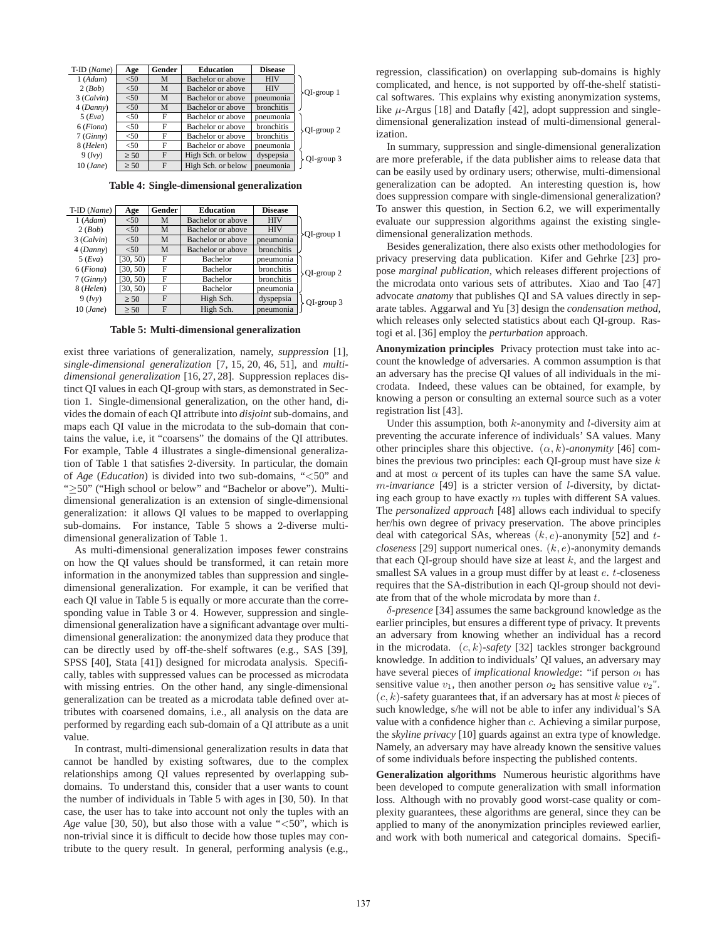| T-ID (Name) | Age       | Gender | <b>Education</b>   | <b>Disease</b> |                 |
|-------------|-----------|--------|--------------------|----------------|-----------------|
| 1(Adam)     | < 50      | M      | Bachelor or above  | <b>HIV</b>     |                 |
| 2 (Bob)     | < 50      | M      | Bachelor or above  | <b>HIV</b>     | >QI-group 1     |
| 3 (Calvin)  | < 50      | M      | Bachelor or above  | pneumonia      |                 |
| 4(Dannv)    | < 50      | M      | Bachelor or above  | bronchitis     |                 |
| $5$ (Eva)   | < 50      | F      | Bachelor or above  | pneumonia      |                 |
| 6 (Fiona)   | < 50      | F      | Bachelor or above  | bronchitis     | $\ QI$ -group 2 |
| 7(Ginnv)    | < 50      | F      | Bachelor or above  | bronchitis     |                 |
| 8 (Helen)   | < 50      | F      | Bachelor or above  | pneumonia      |                 |
| 9 (Ivv)     | $\geq 50$ | F      | High Sch. or below | dyspepsia      | QI-group 3      |
| $10$ (Jane) | $\geq 50$ | F      | High Sch. or below | pneumonia      |                 |

**Table 4: Single-dimensional generalization**

| T-ID (Name) | Age       | Gender | <b>Education</b>  | <b>Disease</b> |             |
|-------------|-----------|--------|-------------------|----------------|-------------|
| 1(Adam)     | < 50      | М      | Bachelor or above | <b>HIV</b>     |             |
| 2 (Bob)     | < 50      | М      | Bachelor or above | <b>HIV</b>     | >QI-group 1 |
| 3 (Calvin)  | < 50      | М      | Bachelor or above | pneumonia      |             |
| 4(Danny)    | < 50      | М      | Bachelor or above | bronchitis     |             |
| $5$ (Eva)   | [30, 50)  | F      | <b>Bachelor</b>   | pneumonia      |             |
| 6 (Fiona)   | (30, 50)  | F      | <b>Bachelor</b>   | bronchitis     | QI-group 2  |
| 7(Ginny)    | [30, 50)  | F      | <b>Bachelor</b>   | bronchitis     |             |
| 8 (Helen)   | (30, 50)  | F      | <b>Bachelor</b>   | pneumonia      |             |
| 9 (Ivy)     | $\geq 50$ | F      | High Sch.         | dyspepsia      | OI-group 3  |
| $10$ (Jane) | $\geq 50$ | F      | High Sch.         | pneumonia      |             |

**Table 5: Multi-dimensional generalization**

exist three variations of generalization, namely, *suppression* [1], *single-dimensional generalization* [7, 15, 20, 46, 51], and *multidimensional generalization* [16, 27, 28]. Suppression replaces distinct QI values in each QI-group with stars, as demonstrated in Section 1. Single-dimensional generalization, on the other hand, divides the domain of each QI attribute into *disjoint* sub-domains, and maps each QI value in the microdata to the sub-domain that contains the value, i.e, it "coarsens" the domains of the QI attributes. For example, Table 4 illustrates a single-dimensional generalization of Table 1 that satisfies 2-diversity. In particular, the domain of *Age* (*Education*) is divided into two sub-domains, "<50" and "≥50" ("High school or below" and "Bachelor or above"). Multidimensional generalization is an extension of single-dimensional generalization: it allows QI values to be mapped to overlapping sub-domains. For instance, Table 5 shows a 2-diverse multidimensional generalization of Table 1.

As multi-dimensional generalization imposes fewer constrains on how the QI values should be transformed, it can retain more information in the anonymized tables than suppression and singledimensional generalization. For example, it can be verified that each QI value in Table 5 is equally or more accurate than the corresponding value in Table 3 or 4. However, suppression and singledimensional generalization have a significant advantage over multidimensional generalization: the anonymized data they produce that can be directly used by off-the-shelf softwares (e.g., SAS [39], SPSS [40], Stata [41]) designed for microdata analysis. Specifically, tables with suppressed values can be processed as microdata with missing entries. On the other hand, any single-dimensional generalization can be treated as a microdata table defined over attributes with coarsened domains, i.e., all analysis on the data are performed by regarding each sub-domain of a QI attribute as a unit value.

In contrast, multi-dimensional generalization results in data that cannot be handled by existing softwares, due to the complex relationships among QI values represented by overlapping subdomains. To understand this, consider that a user wants to count the number of individuals in Table 5 with ages in [30, 50). In that case, the user has to take into account not only the tuples with an *Age* value [30, 50), but also those with a value "<50", which is non-trivial since it is difficult to decide how those tuples may contribute to the query result. In general, performing analysis (e.g., regression, classification) on overlapping sub-domains is highly complicated, and hence, is not supported by off-the-shelf statistical softwares. This explains why existing anonymization systems, like  $\mu$ -Argus [18] and Datafly [42], adopt suppression and singledimensional generalization instead of multi-dimensional generalization.

In summary, suppression and single-dimensional generalization are more preferable, if the data publisher aims to release data that can be easily used by ordinary users; otherwise, multi-dimensional generalization can be adopted. An interesting question is, how does suppression compare with single-dimensional generalization? To answer this question, in Section 6.2, we will experimentally evaluate our suppression algorithms against the existing singledimensional generalization methods.

Besides generalization, there also exists other methodologies for privacy preserving data publication. Kifer and Gehrke [23] propose *marginal publication*, which releases different projections of the microdata onto various sets of attributes. Xiao and Tao [47] advocate *anatomy* that publishes QI and SA values directly in separate tables. Aggarwal and Yu [3] design the *condensation method*, which releases only selected statistics about each QI-group. Rastogi et al. [36] employ the *perturbation* approach.

**Anonymization principles** Privacy protection must take into account the knowledge of adversaries. A common assumption is that an adversary has the precise QI values of all individuals in the microdata. Indeed, these values can be obtained, for example, by knowing a person or consulting an external source such as a voter registration list [43].

Under this assumption, both  $k$ -anonymity and  $l$ -diversity aim at preventing the accurate inference of individuals' SA values. Many other principles share this objective.  $(\alpha, k)$ -anonymity [46] combines the previous two principles: each QI-group must have size  $k$ and at most  $\alpha$  percent of its tuples can have the same SA value. m*-invariance* [49] is a stricter version of l-diversity, by dictating each group to have exactly  $m$  tuples with different SA values. The *personalized approach* [48] allows each individual to specify her/his own degree of privacy preservation. The above principles deal with categorical SAs, whereas (k, <sup>e</sup>)-anonymity [52] and <sup>t</sup>*closeness* [29] support numerical ones. (k, e)-anonymity demands that each QI-group should have size at least  $k$ , and the largest and smallest SA values in a group must differ by at least  $e$ . t-closeness requires that the SA-distribution in each QI-group should not deviate from that of the whole microdata by more than t.

δ*-presence* [34] assumes the same background knowledge as the earlier principles, but ensures a different type of privacy. It prevents an adversary from knowing whether an individual has a record in the microdata. (c, k)*-safety* [32] tackles stronger background knowledge. In addition to individuals' QI values, an adversary may have several pieces of *implicational knowledge*: "if person  $o_1$  has sensitive value  $v_1$ , then another person  $o_2$  has sensitive value  $v_2$ ".  $(c, k)$ -safety guarantees that, if an adversary has at most k pieces of such knowledge, s/he will not be able to infer any individual's SA value with a confidence higher than c. Achieving a similar purpose, the *skyline privacy* [10] guards against an extra type of knowledge. Namely, an adversary may have already known the sensitive values of some individuals before inspecting the published contents.

**Generalization algorithms** Numerous heuristic algorithms have been developed to compute generalization with small information loss. Although with no provably good worst-case quality or complexity guarantees, these algorithms are general, since they can be applied to many of the anonymization principles reviewed earlier, and work with both numerical and categorical domains. Specifi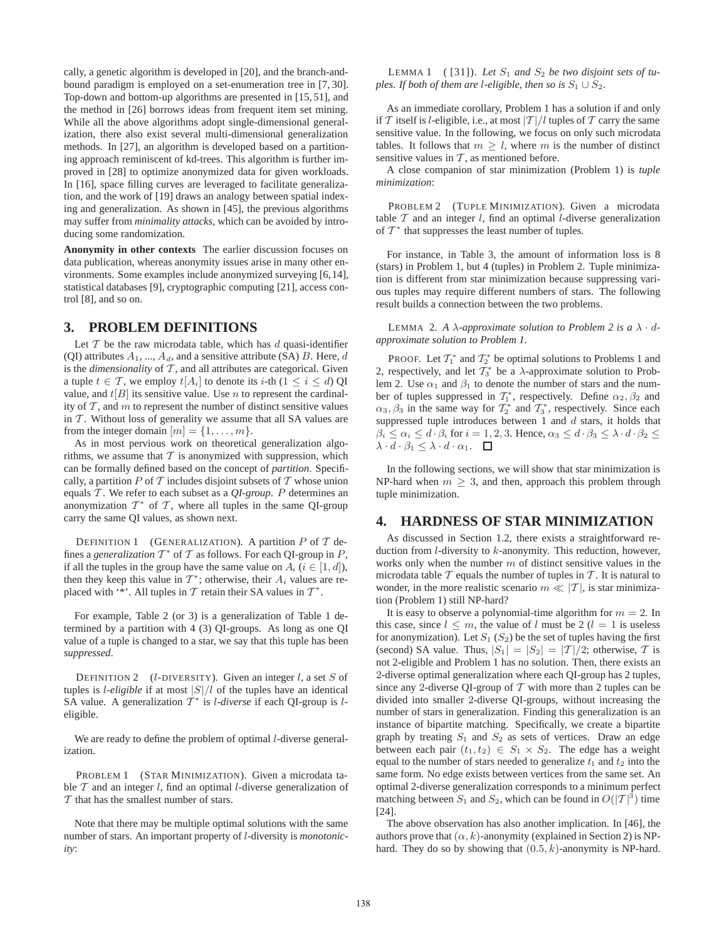cally, a genetic algorithm is developed in [20], and the branch-andbound paradigm is employed on a set-enumeration tree in [7, 30]. Top-down and bottom-up algorithms are presented in [15, 51], and the method in [26] borrows ideas from frequent item set mining. While all the above algorithms adopt single-dimensional generalization, there also exist several multi-dimensional generalization methods. In [27], an algorithm is developed based on a partitioning approach reminiscent of kd-trees. This algorithm is further improved in [28] to optimize anonymized data for given workloads. In [16], space filling curves are leveraged to facilitate generalization, and the work of [19] draws an analogy between spatial indexing and generalization. As shown in [45], the previous algorithms may suffer from *minimality attacks*, which can be avoided by introducing some randomization.

**Anonymity in other contexts** The earlier discussion focuses on data publication, whereas anonymity issues arise in many other environments. Some examples include anonymized surveying [6,14], statistical databases [9], cryptographic computing [21], access control [8], and so on.

## **3. PROBLEM DEFINITIONS**

Let  $T$  be the raw microdata table, which has  $d$  quasi-identifier (QI) attributes  $A_1$ , ...,  $A_d$ , and a sensitive attribute (SA) B. Here, d is the *dimensionality* of  $T$ , and all attributes are categorical. Given a tuple  $t \in \mathcal{T}$ , we employ  $t[A_i]$  to denote its *i*-th  $(1 \le i \le d)$  QI value, and  $t[B]$  its sensitive value. Use *n* to represent the cardinality of  $\mathcal T$ , and  $m$  to represent the number of distinct sensitive values in  $T$ . Without loss of generality we assume that all SA values are from the integer domain  $[m] = \{1, \ldots, m\}.$ 

As in most pervious work on theoretical generalization algorithms, we assume that  $T$  is anonymized with suppression, which can be formally defined based on the concept of *partition*. Specifically, a partition  $P$  of  $\mathcal T$  includes disjoint subsets of  $\mathcal T$  whose union equals T . We refer to each subset as a *QI-group*. P determines an anonymization  $T^*$  of T, where all tuples in the same OI-group carry the same QI values, as shown next.

DEFINITION 1 (GENERALIZATION). A partition  $P$  of  $T$  defines a *generalization*  $T^*$  of T as follows. For each QI-group in P, if all the tuples in the group have the same value on  $A_i$  ( $i \in [1, d]$ ), then they keep this value in  $\mathcal{T}^*$ ; otherwise, their  $A_i$  values are replaced with '\*'. All tuples in  $T$  retain their SA values in  $T^*$ .

For example, Table 2 (or 3) is a generalization of Table 1 determined by a partition with 4 (3) QI-groups. As long as one QI value of a tuple is changed to a star, we say that this tuple has been *suppressed*.

DEFINITION 2 (*l*-DIVERSITY). Given an integer *l*, a set S of tuples is *l-eligible* if at most  $|S|/l$  of the tuples have an identical SA value. A generalization  $T^*$  is *l-diverse* if each QI-group is *l*eligible.

We are ready to define the problem of optimal *l*-diverse generalization.

PROBLEM 1 (STAR MINIMIZATION). Given a microdata table  $T$  and an integer l, find an optimal l-diverse generalization of  $T$  that has the smallest number of stars.

Note that there may be multiple optimal solutions with the same number of stars. An important property of l-diversity is *monotonicity*:

LEMMA 1 ([31]). Let  $S_1$  and  $S_2$  be two disjoint sets of tu*ples. If both of them are l-eligible, then so is*  $S_1 \cup S_2$ *.* 

As an immediate corollary, Problem 1 has a solution if and only if T itself is *l*-eligible, i.e., at most  $|T|/l$  tuples of T carry the same sensitive value. In the following, we focus on only such microdata tables. It follows that  $m \geq l$ , where m is the number of distinct sensitive values in  $T$ , as mentioned before.

A close companion of star minimization (Problem 1) is *tuple minimization*:

PROBLEM 2 (TUPLE MINIMIZATION). Given a microdata table  $T$  and an integer l, find an optimal l-diverse generalization of  $\mathcal{T}^*$  that suppresses the least number of tuples.

For instance, in Table 3, the amount of information loss is 8 (stars) in Problem 1, but 4 (tuples) in Problem 2. Tuple minimization is different from star minimization because suppressing various tuples may require different numbers of stars. The following result builds a connection between the two problems.

LEMMA 2. *A*  $\lambda$ -*approximate solution to Problem 2 is a*  $\lambda \cdot d$ *approximate solution to Problem 1.*

PROOF. Let  $\mathcal{T}_1^*$  and  $\mathcal{T}_2^*$  be optimal solutions to Problems 1 and 2, respectively, and let  $\mathcal{T}_3^*$  be a  $\lambda$ -approximate solution to Problem 2. Use  $\alpha_1$  and  $\beta_1$  to denote the number of stars and the number of tuples suppressed in  $\mathcal{T}_1^*$ , respectively. Define  $\alpha_2, \beta_2$  and  $\alpha_3, \beta_3$  in the same way for  $\mathcal{T}_2^*$  and  $\mathcal{T}_3^*$ , respectively. Since each suppressed tuple introduces between  $1$  and  $d$  stars, it holds that  $\beta_i \leq \alpha_i \leq d \cdot \beta_i$  for  $i = 1, 2, 3$ . Hence,  $\alpha_3 \leq d \cdot \beta_3 \leq \lambda \cdot d \cdot \beta_2 \leq$  $\lambda \cdot d \cdot \beta_1 \leq \lambda \cdot d \cdot \alpha_1$ .  $\Box$ 

In the following sections, we will show that star minimization is NP-hard when  $m \geq 3$ , and then, approach this problem through tuple minimization.

## **4. HARDNESS OF STAR MINIMIZATION**

As discussed in Section 1.2, there exists a straightforward reduction from l-diversity to k-anonymity. This reduction, however, works only when the number  $m$  of distinct sensitive values in the microdata table  $T$  equals the number of tuples in  $T$ . It is natural to wonder, in the more realistic scenario  $m \ll |T|$ , is star minimization (Problem 1) still NP-hard?

It is easy to observe a polynomial-time algorithm for  $m = 2$ . In this case, since  $l \leq m$ , the value of l must be  $2 (l = 1$  is useless for anonymization). Let  $S_1$  ( $S_2$ ) be the set of tuples having the first (second) SA value. Thus,  $|S_1| = |S_2| = |T|/2$ ; otherwise, T is not 2-eligible and Problem 1 has no solution. Then, there exists an 2-diverse optimal generalization where each QI-group has 2 tuples,<br>since any 2-diverse OI-group of  $\tau$  with more than 2 tuples can be since any 2-diverse QI-group of  $T$  with more than 2 tuples can be divided into smaller 2-diverse QI-groups, without increasing the divided into smaller 2-diverse QI-groups, without increasing the number of stars in generalization. Finding this generalization is an instance of bipartite matching. Specifically, we create a bipartite graph by treating  $S_1$  and  $S_2$  as sets of vertices. Draw an edge between each pair  $(t_1, t_2) \in S_1 \times S_2$ . The edge has a weight equal to the number of stars needed to generalize  $t_1$  and  $t_2$  into the same form. No edge exists between vertices from the same set. An optimal 2-diverse generalization corresponds to a minimum perfect matching between  $S_1$  and  $S_2$ , which can be found in  $O(|\mathcal{T}|^3)$  time [24].

The above observation has also another implication. In [46], the authors prove that  $(\alpha, k)$ -anonymity (explained in Section 2) is NPhard. They do so by showing that  $(0.5, k)$ -anonymity is NP-hard.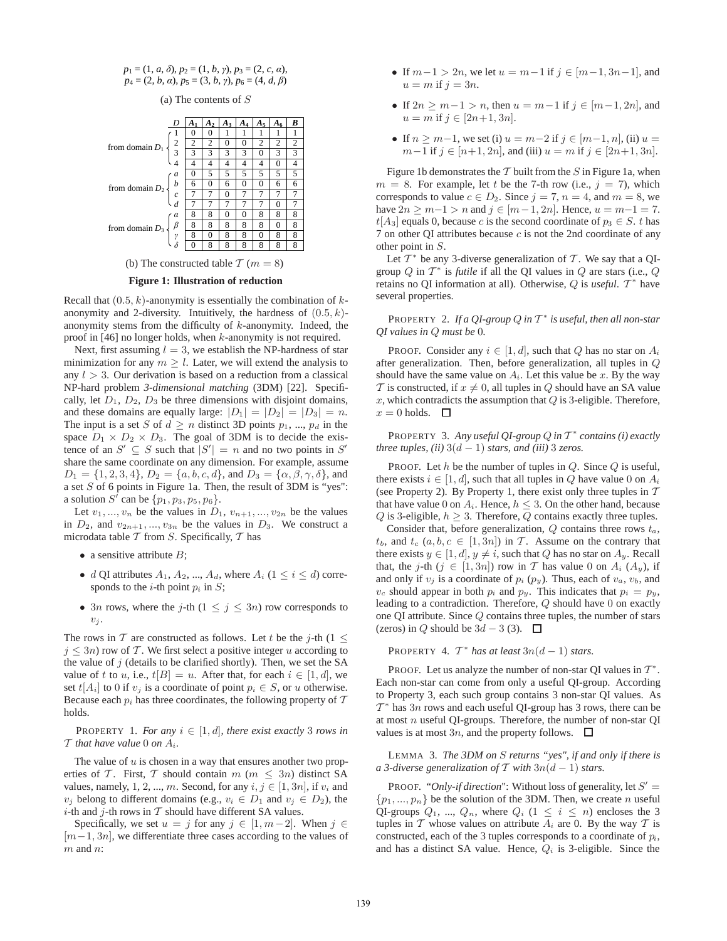$$
p_1 = (1, a, \delta), p_2 = (1, b, \gamma), p_3 = (2, c, a),
$$
  

$$
p_4 = (2, b, a), p_5 = (3, b, \gamma), p_6 = (4, d, \beta)
$$



(b) The constructed table  $T (m = 8)$ 

#### **Figure 1: Illustration of reduction**

Recall that  $(0.5, k)$ -anonymity is essentially the combination of  $k$ anonymity and 2-diversity. Intuitively, the hardness of  $(0.5, k)$ anonymity stems from the difficulty of  $k$ -anonymity. Indeed, the proof in [46] no longer holds, when k-anonymity is not required.

Next, first assuming  $l = 3$ , we establish the NP-hardness of star minimization for any  $m > l$ . Later, we will extend the analysis to any  $l > 3$ . Our derivation is based on a reduction from a classical NP-hard problem *3-dimensional matching* (3DM) [22]. Specifically, let  $D_1$ ,  $D_2$ ,  $D_3$  be three dimensions with disjoint domains, and these domains are equally large:  $|D_1| = |D_2| = |D_3| = n$ . The input is a set S of  $d \geq n$  distinct 3D points  $p_1, ..., p_d$  in the space  $D_1 \times D_2 \times D_3$ . The goal of 3DM is to decide the existence of an  $S' \subseteq S$  such that  $|S'| = n$  and no two points in  $S'$ <br>share the same coordinate on any dimension. For example, assume share the same coordinate on any dimension. For example, assume  $D_1 = \{1, 2, 3, 4\}, D_2 = \{a, b, c, d\}$ , and  $D_3 = \{\alpha, \beta, \gamma, \delta\}$ , and a set S of 6 points in Figure 1a. Then, the result of 3DM is "yes": a solution  $S^{\prime}$  can be  $\{p_1, p_3, p_5, p_6\}.$ 

Let  $v_1, ..., v_n$  be the values in  $D_1, v_{n+1}, ..., v_{2n}$  be the values in  $D_2$ , and  $v_{2n+1},..., v_{3n}$  be the values in  $D_3$ . We construct a microdata table  $\mathcal T$  from  $S$ . Specifically,  $\mathcal T$  has

- a sensitive attribute  $B$ ;
- *d* QI attributes  $A_1, A_2, ..., A_d$ , where  $A_i$  ( $1 \le i \le d$ ) corresponds to the *i*-th point  $p_i$  in  $S$ ;
- 3*n* rows, where the *j*-th  $(1 \le j \le 3n)$  row corresponds to  $v_i$ .

The rows in T are constructed as follows. Let t be the j-th (1  $\leq$  $j \leq 3n$ ) row of T. We first select a positive integer u according to the value of  $j$  (details to be clarified shortly). Then, we set the SA value of t to u, i.e.,  $t[B] = u$ . After that, for each  $i \in [1, d]$ , we set  $t[A_i]$  to 0 if  $v_j$  is a coordinate of point  $p_i \in S$ , or u otherwise. Because each  $p_i$  has three coordinates, the following property of  $T$ holds.

PROPERTY 1. *For any*  $i \in [1, d]$ *, there exist exactly* 3 *rows in*  $\mathcal T$  *that have value* 0 *on*  $A_i$ .

The value of  $u$  is chosen in a way that ensures another two properties of T. First, T should contain  $m$  ( $m \leq 3n$ ) distinct SA values, namely, 1, 2, ..., m. Second, for any  $i, j \in [1, 3n]$ , if  $v_i$  and  $v_j$  belong to different domains (e.g.,  $v_i \in D_1$  and  $v_j \in D_2$ ), the *i*-th and *j*-th rows in  $T$  should have different SA values.

Specifically, we set  $u = j$  for any  $j \in [1, m-2]$ . When  $j \in$  $[m-1, 3n]$ , we differentiate three cases according to the values of  $m$  and  $n$ :

- If  $m-1 > 2n$ , we let  $u = m-1$  if  $j \in [m-1, 3n-1]$ , and  $u = m$  if  $j = 3n$ .
- If  $2n \ge m-1 > n$ , then  $u = m-1$  if  $j \in [m-1, 2n]$ , and  $u = m$  if  $j \in [2n+1, 3n]$ .
- If  $n \ge m-1$ , we set (i)  $u = m-2$  if  $j \in [m-1, n]$ , (ii)  $u =$  $m-1$  if  $j \in [n+1, 2n]$ , and (iii)  $u = m$  if  $j \in [2n+1, 3n]$ .

Figure 1b demonstrates the  $T$  built from the  $S$  in Figure 1a, when  $m = 8$ . For example, let t be the 7-th row (i.e.,  $j = 7$ ), which corresponds to value  $c \in D_2$ . Since  $j = 7$ ,  $n = 4$ , and  $m = 8$ , we have  $2n \ge m-1 > n$  and  $j \in [m-1, 2n]$ . Hence,  $u = m-1 = 7$ .  $t[A_3]$  equals 0, because c is the second coordinate of  $p_3 \in S$ . t has 7 on other QI attributes because c is not the 2nd coordinate of any other point in S.

Let  $T^*$  be any 3-diverse generalization of T. We say that a QIgroup  $Q$  in  $T^*$  is *futile* if all the QI values in  $Q$  are stars (i.e.,  $Q$ retains no QI information at all). Otherwise,  $Q$  is *useful*.  $T^*$  have several properties.

PROPERTY 2. If a QI-group  $Q$  in  $T^*$  is useful, then all non-star *QI values in* <sup>Q</sup> *must be* 0*.*

PROOF. Consider any  $i \in [1, d]$ , such that Q has no star on  $A_i$ after generalization. Then, before generalization, all tuples in Q should have the same value on  $A_i$ . Let this value be x. By the way T is constructed, if  $x \neq 0$ , all tuples in Q should have an SA value  $x$ , which contradicts the assumption that  $Q$  is 3-eligible. Therefore,  $x = 0$  holds.  $\Box$ 

PROPERTY 3. Any useful QI-group Q in  $T^*$  contains (i) exactly *three tuples, (ii)*  $3(d-1)$  *stars, and (iii)* 3 *zeros.* 

PROOF. Let h be the number of tuples in  $Q$ . Since  $Q$  is useful, there exists  $i \in [1, d]$ , such that all tuples in Q have value 0 on  $A_i$ (see Property 2). By Property 1, there exist only three tuples in  $T$ that have value 0 on  $A_i$ . Hence,  $h \leq 3$ . On the other hand, because  $Q$  is 3-eligible,  $h \geq 3$ . Therefore,  $Q$  contains exactly three tuples.

Consider that, before generalization,  $Q$  contains three rows  $t_a$ ,  $t_b$ , and  $t_c$   $(a, b, c \in [1, 3n])$  in T. Assume on the contrary that there exists  $y \in [1, d], y \neq i$ , such that Q has no star on  $A_y$ . Recall that, the j-th  $(j \in [1, 3n])$  row in T has value 0 on  $A_i$   $(A_y)$ , if and only if  $v_j$  is a coordinate of  $p_i$  ( $p_y$ ). Thus, each of  $v_a$ ,  $v_b$ , and  $v_c$  should appear in both  $p_i$  and  $p_y$ . This indicates that  $p_i = p_y$ , leading to a contradiction. Therefore, <sup>Q</sup> should have 0 on exactly one QI attribute. Since Q contains three tuples, the number of stars (zeros) in Q should be  $3d - 3$  (3).  $\Box$ 

PROPERTY 4.  $T^*$  *has at least*  $3n(d-1)$  *stars.* 

PROOF. Let us analyze the number of non-star QI values in  $T^*$ . Each non-star can come from only a useful QI-group. According to Property 3, each such group contains 3 non-star QI values. As  $T^*$  has 3n rows and each useful QI-group has 3 rows, there can be at most  $n$  useful QI-groups. Therefore, the number of non-star QI values is at most 3n, and the property follows.  $\Box$ 

LEMMA 3. *The 3DM on* S *returns "yes", if and only if there is a* 3-diverse generalization of T with  $3n(d-1)$  stars.

PROOF. "Only-if direction": Without loss of generality, let  $S' =$  $\{p_1, ..., p_n\}$  be the solution of the 3DM. Then, we create n useful QI-groups  $Q_1$ , ...,  $Q_n$ , where  $Q_i$  ( $1 \leq i \leq n$ ) encloses the 3 tuples in  $T$  whose values on attribute  $A_i$  are 0. By the way  $T$  is constructed, each of the 3 tuples corresponds to a coordinate of p*i*, and has a distinct SA value. Hence, Q*<sup>i</sup>* is 3-eligible. Since the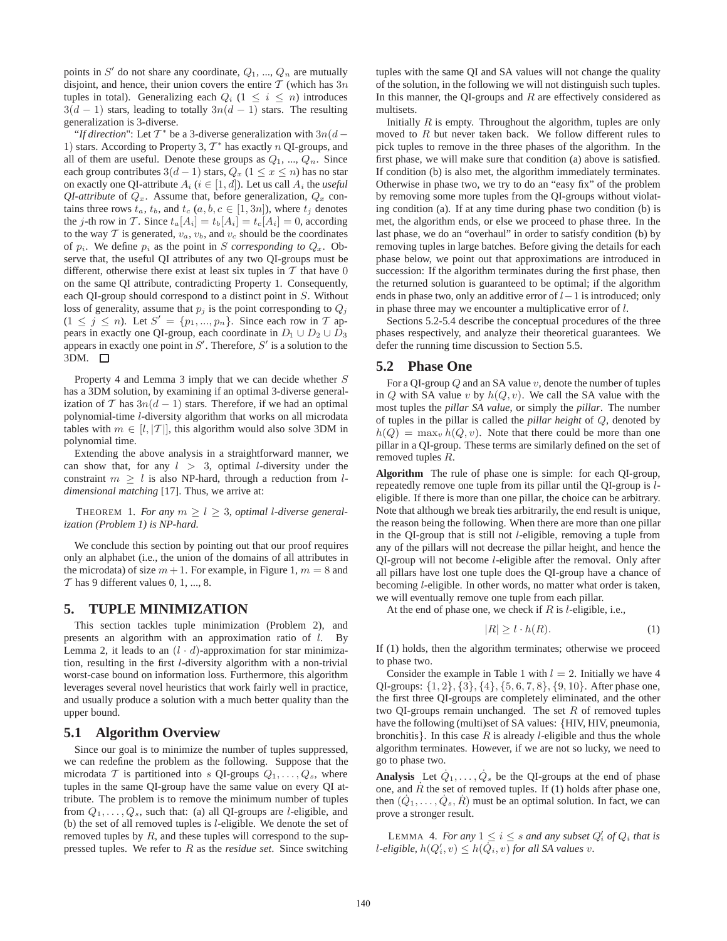points in  $S'$  do not share any coordinate,  $Q_1, ..., Q_n$  are mutually disjoint, and hence, their union covers the entire  $T$  (which has  $3n$ tuples in total). Generalizing each  $Q_i$  ( $1 \leq i \leq n$ ) introduces  $3(d-1)$  stars, leading to totally  $3n(d-1)$  stars. The resulting generalization is 3-diverse.

"*If direction*": Let  $T^*$  be a 3-diverse generalization with  $3n(d -$ 1) stars. According to Property 3,  $T^*$  has exactly n QI-groups, and all of them are useful. Denote these groups as  $Q_1, ..., Q_n$ . Since each group contributes  $3(d-1)$  stars,  $Q_x$  ( $1 \le x \le n$ ) has no star on exactly one QI-attribute  $A_i$  ( $i \in [1, d]$ ). Let us call  $A_i$  the *useful QI-attribute* of  $Q_x$ . Assume that, before generalization,  $Q_x$  contains three rows  $t_a$ ,  $t_b$ , and  $t_c$  ( $a, b, c \in [1, 3n]$ ), where  $t_j$  denotes the *j*-th row in T. Since  $t_a[A_i] = t_b[A_i] = t_c[A_i] = 0$ , according to the way  $T$  is generated,  $v_a$ ,  $v_b$ , and  $v_c$  should be the coordinates of  $p_i$ . We define  $p_i$  as the point in S *corresponding to*  $Q_x$ . Observe that, the useful QI attributes of any two QI-groups must be different, otherwise there exist at least six tuples in  $T$  that have 0 on the same QI attribute, contradicting Property 1. Consequently, each QI-group should correspond to a distinct point in S. Without loss of generality, assume that  $p_j$  is the point corresponding to  $Q_j$  $(1 \leq j \leq n)$ . Let  $S' = \{p_1, ..., p_n\}$ . Since each row in T appears in exactly one QI-group, each coordinate in  $D_1 \cup D_2 \cup D_3$ appears in exactly one point in  $S'$ . Therefore,  $S'$  is a solution to the 3DM.

Property 4 and Lemma 3 imply that we can decide whether S has a 3DM solution, by examining if an optimal 3-diverse generalization of T has  $3n(d-1)$  stars. Therefore, if we had an optimal polynomial-time l-diversity algorithm that works on all microdata tables with  $m \in [l, |\mathcal{T}|]$ , this algorithm would also solve 3DM in polynomial time.

Extending the above analysis in a straightforward manner, we can show that, for any  $l > 3$ , optimal *l*-diversity under the constraint  $m \geq l$  is also NP-hard, through a reduction from  $l$ *dimensional matching* [17]. Thus, we arrive at:

THEOREM 1. For any  $m > l > 3$ , optimal *l*-diverse general*ization (Problem 1) is NP-hard.*

We conclude this section by pointing out that our proof requires only an alphabet (i.e., the union of the domains of all attributes in the microdata) of size  $m + 1$ . For example, in Figure 1,  $m = 8$  and  $\mathcal T$  has 9 different values 0, 1, ..., 8.

## **5. TUPLE MINIMIZATION**

This section tackles tuple minimization (Problem 2), and presents an algorithm with an approximation ratio of l. By Lemma 2, it leads to an  $(l \cdot d)$ -approximation for star minimization, resulting in the first l-diversity algorithm with a non-trivial worst-case bound on information loss. Furthermore, this algorithm leverages several novel heuristics that work fairly well in practice, and usually produce a solution with a much better quality than the upper bound.

## **5.1 Algorithm Overview**

Since our goal is to minimize the number of tuples suppressed, we can redefine the problem as the following. Suppose that the microdata T is partitioned into s QI-groups  $Q_1, \ldots, Q_s$ , where tuples in the same QI-group have the same value on every QI attribute. The problem is to remove the minimum number of tuples from  $Q_1, \ldots, Q_s$ , such that: (a) all QI-groups are *l*-eligible, and (b) the set of all removed tuples is  $l$ -eligible. We denote the set of removed tuples by  $R$ , and these tuples will correspond to the suppressed tuples. We refer to R as the *residue set*. Since switching

tuples with the same QI and SA values will not change the quality of the solution, in the following we will not distinguish such tuples. In this manner, the QI-groups and  $R$  are effectively considered as multisets.

Initially  $R$  is empty. Throughout the algorithm, tuples are only moved to  $R$  but never taken back. We follow different rules to pick tuples to remove in the three phases of the algorithm. In the first phase, we will make sure that condition (a) above is satisfied. If condition (b) is also met, the algorithm immediately terminates. Otherwise in phase two, we try to do an "easy fix" of the problem by removing some more tuples from the QI-groups without violating condition (a). If at any time during phase two condition (b) is met, the algorithm ends, or else we proceed to phase three. In the last phase, we do an "overhaul" in order to satisfy condition (b) by removing tuples in large batches. Before giving the details for each phase below, we point out that approximations are introduced in succession: If the algorithm terminates during the first phase, then the returned solution is guaranteed to be optimal; if the algorithm ends in phase two, only an additive error of  $l-1$  is introduced; only in phase three may we encounter a multiplicative error of l.

Sections 5.2-5.4 describe the conceptual procedures of the three phases respectively, and analyze their theoretical guarantees. We defer the running time discussion to Section 5.5.

#### **5.2 Phase One**

For a QI-group  $Q$  and an SA value  $v$ , denote the number of tuples in Q with SA value v by  $h(Q, v)$ . We call the SA value with the most tuples the *pillar SA value*, or simply the *pillar*. The number of tuples in the pillar is called the *pillar height* of Q, denoted by  $h(Q) = \max_{v} h(Q, v)$ . Note that there could be more than one pillar in a QI-group. These terms are similarly defined on the set of removed tuples R.

**Algorithm** The rule of phase one is simple: for each QI-group, repeatedly remove one tuple from its pillar until the QI-group is leligible. If there is more than one pillar, the choice can be arbitrary. Note that although we break ties arbitrarily, the end result is unique, the reason being the following. When there are more than one pillar in the QI-group that is still not l-eligible, removing a tuple from any of the pillars will not decrease the pillar height, and hence the QI-group will not become l-eligible after the removal. Only after all pillars have lost one tuple does the QI-group have a chance of becoming l-eligible. In other words, no matter what order is taken, we will eventually remove one tuple from each pillar.

At the end of phase one, we check if  $R$  is  $l$ -eligible, i.e.,

$$
|R| \ge l \cdot h(R). \tag{1}
$$

If (1) holds, then the algorithm terminates; otherwise we proceed to phase two.

Consider the example in Table 1 with  $l = 2$ . Initially we have 4 QI-groups: {1, 2}, {3}, {4}, {5, 6, 7, 8}, {9, 10}. After phase one, the first three QI-groups are completely eliminated, and the other two QI-groups remain unchanged. The set  $R$  of removed tuples have the following (multi)set of SA values: {HIV, HIV, pneumonia, bronchitis}. In this case R is already *l*-eligible and thus the whole algorithm terminates. However, if we are not so lucky, we need to go to phase two.

**Analysis** Let  $\dot{Q}_1, \ldots, \dot{Q}_s$  be the QI-groups at the end of phase one, and  $\hat{R}$  the set of removed tuples. If (1) holds after phase one, then  $(Q_1, \ldots, Q_s, R)$  must be an optimal solution. In fact, we can prove a stronger result.

LEMMA 4. For any  $1 \le i \le s$  and any subset  $Q'_i$  of  $Q_i$  that is<br>ligible  $h(Q'_i, v) \le h(Q_i, v)$  for all SA values v *l*-eligible,  $h(Q'_i, v) \leq h(Q_i, v)$  *for all SA values v.*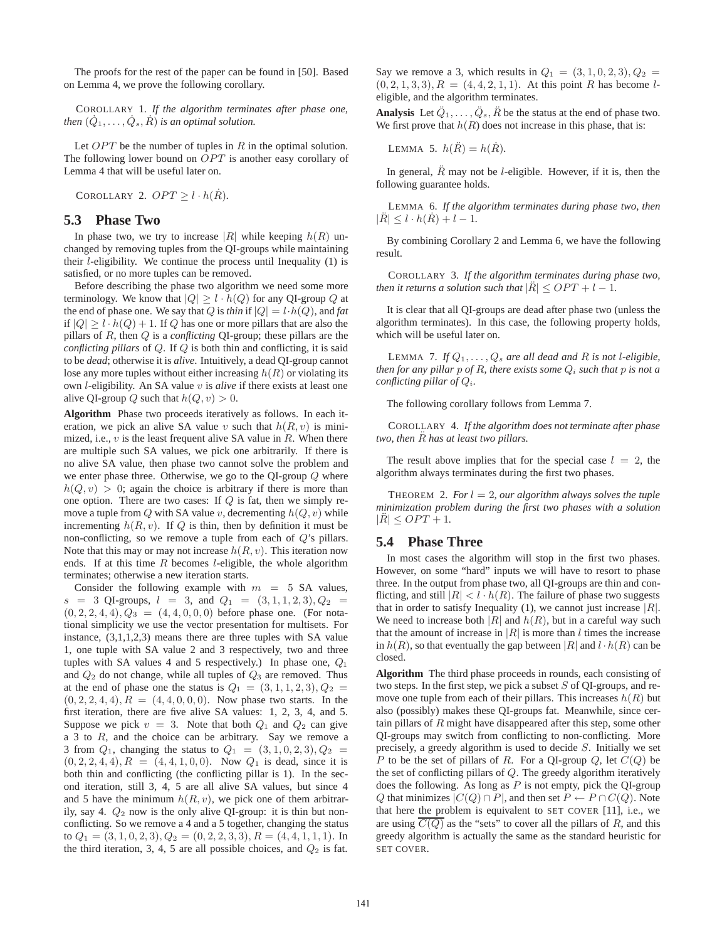The proofs for the rest of the paper can be found in [50]. Based on Lemma 4, we prove the following corollary.

COROLLARY 1. *If the algorithm terminates after phase one, then*  $(Q_1, \ldots, Q_s, R)$  *is an optimal solution.* 

Let  $OPT$  be the number of tuples in R in the optimal solution. The following lower bound on  $OPT$  is another easy corollary of Lemma 4 that will be useful later on.

COROLLARY 2.  $OPT \geq l \cdot h(R)$ .

## **5.3 Phase Two**

In phase two, we try to increase |R| while keeping  $h(R)$  unchanged by removing tuples from the QI-groups while maintaining their  $l$ -eligibility. We continue the process until Inequality  $(1)$  is satisfied, or no more tuples can be removed.

Before describing the phase two algorithm we need some more terminology. We know that  $|Q| \geq l \cdot h(Q)$  for any QI-group Q at the end of phase one. We say that Q is *thin* if  $|Q| = l \cdot h(Q)$ , and *fat* if  $|Q| > l \cdot h(Q) + 1$ . If Q has one or more pillars that are also the pillars of R, then Q is a *conflicting* QI-group; these pillars are the *conflicting pillars* of Q. If Q is both thin and conflicting, it is said to be *dead*; otherwise it is *alive*. Intuitively, a dead QI-group cannot lose any more tuples without either increasing  $h(R)$  or violating its own l-eligibility. An SA value v is *alive* if there exists at least one alive QI-group Q such that  $h(Q, v) > 0$ .

**Algorithm** Phase two proceeds iteratively as follows. In each iteration, we pick an alive SA value v such that  $h(R, v)$  is minimized, i.e.,  $v$  is the least frequent alive SA value in  $R$ . When there are multiple such SA values, we pick one arbitrarily. If there is no alive SA value, then phase two cannot solve the problem and we enter phase three. Otherwise, we go to the QI-group Q where  $h(Q, v) > 0$ ; again the choice is arbitrary if there is more than one option. There are two cases: If  $Q$  is fat, then we simply remove a tuple from Q with SA value v, decrementing  $h(Q, v)$  while incrementing  $h(R, v)$ . If Q is thin, then by definition it must be non-conflicting, so we remove a tuple from each of  $Q$ 's pillars. Note that this may or may not increase  $h(R, v)$ . This iteration now ends. If at this time  $R$  becomes  $l$ -eligible, the whole algorithm terminates; otherwise a new iteration starts.

Consider the following example with  $m = 5$  SA values,  $s = 3$  QI-groups,  $l = 3$ , and  $Q_1 = (3, 1, 1, 2, 3), Q_2 =$  $(0, 2, 2, 4, 4), Q_3 = (4, 4, 0, 0, 0)$  before phase one. (For notational simplicity we use the vector presentation for multisets. For instance, (3,1,1,2,3) means there are three tuples with SA value 1, one tuple with SA value 2 and 3 respectively, two and three tuples with SA values 4 and 5 respectively.) In phase one,  $Q_1$ and  $Q_2$  do not change, while all tuples of  $Q_3$  are removed. Thus at the end of phase one the status is  $Q_1 = (3, 1, 1, 2, 3), Q_2 =$  $(0, 2, 2, 4, 4), R = (4, 4, 0, 0, 0).$  Now phase two starts. In the first iteration, there are five alive SA values: 1, 2, 3, 4, and 5. Suppose we pick  $v = 3$ . Note that both  $Q_1$  and  $Q_2$  can give a 3 to  $R$ , and the choice can be arbitrary. Say we remove a 3 from  $Q_1$ , changing the status to  $Q_1 = (3, 1, 0, 2, 3), Q_2 =$  $(0, 2, 2, 4, 4), R = (4, 4, 1, 0, 0).$  Now  $Q_1$  is dead, since it is both thin and conflicting (the conflicting pillar is 1). In the second iteration, still 3, 4, 5 are all alive SA values, but since 4 and 5 have the minimum  $h(R, v)$ , we pick one of them arbitrarily, say 4.  $Q_2$  now is the only alive QI-group: it is thin but nonconflicting. So we remove a 4 and a 5 together, changing the status to  $Q_1 = (3, 1, 0, 2, 3), Q_2 = (0, 2, 2, 3, 3), R = (4, 4, 1, 1, 1).$  In the third iteration, 3, 4, 5 are all possible choices, and  $Q_2$  is fat.

Say we remove a 3, which results in  $Q_1 = (3, 1, 0, 2, 3), Q_2 =$  $(0, 2, 1, 3, 3), R = (4, 4, 2, 1, 1).$  At this point R has become leligible, and the algorithm terminates.

**Analysis** Let  $\ddot{Q}_1, \ldots, \ddot{Q}_s$ ,  $\ddot{R}$  be the status at the end of phase two. We first prove that  $h(R)$  does not increase in this phase, that is:

LEMMA 5. 
$$
h(R) = h(R)
$$
.

In general,  $\ddot{R}$  may not be *l*-eligible. However, if it is, then the following guarantee holds.

LEMMA 6. *If the algorithm terminates during phase two, then*  $|R| \leq l \cdot h(R) + l - 1.$ 

By combining Corollary 2 and Lemma 6, we have the following result.

COROLLARY 3. *If the algorithm terminates during phase two, then it returns a solution such that*  $|R| \leq OPT + l - 1$ .

It is clear that all QI-groups are dead after phase two (unless the algorithm terminates). In this case, the following property holds, which will be useful later on.

LEMMA 7. If  $Q_1, \ldots, Q_s$  are all dead and R is not l-eligible, *then for any pillar p of R, there exists some*  $Q_i$  *such that p is not a conflicting pillar of* Q*i.*

The following corollary follows from Lemma 7.

COROLLARY 4. *If the algorithm does not terminate after phase two, then* <sup>R</sup>¨ *has at least two pillars.*

The result above implies that for the special case  $l = 2$ , the algorithm always terminates during the first two phases.

THEOREM 2. *For*  $l = 2$ *, our algorithm always solves the tuple minimization problem during the first two phases with a solution*  $|\ddot{R}| \leq OPT + 1.$ 

## **5.4 Phase Three**

In most cases the algorithm will stop in the first two phases. However, on some "hard" inputs we will have to resort to phase three. In the output from phase two, all QI-groups are thin and conflicting, and still  $|R| < l \cdot h(R)$ . The failure of phase two suggests that in order to satisfy Inequality (1), we cannot just increase  $|R|$ . We need to increase both  $|R|$  and  $h(R)$ , but in a careful way such that the amount of increase in |R| is more than  $l$  times the increase in  $h(R)$ , so that eventually the gap between |R| and  $l \cdot h(R)$  can be closed.

**Algorithm** The third phase proceeds in rounds, each consisting of two steps. In the first step, we pick a subset  $S$  of QI-groups, and remove one tuple from each of their pillars. This increases  $h(R)$  but also (possibly) makes these QI-groups fat. Meanwhile, since certain pillars of R might have disappeared after this step, some other QI-groups may switch from conflicting to non-conflicting. More precisely, a greedy algorithm is used to decide S. Initially we set P to be the set of pillars of R. For a QI-group  $Q$ , let  $C(Q)$  be the set of conflicting pillars of Q. The greedy algorithm iteratively does the following. As long as  $P$  is not empty, pick the QI-group Q that minimizes  $|C(Q) \cap P|$ , and then set  $P \leftarrow P \cap C(Q)$ . Note that here the problem is equivalent to SET COVER [11], i.e., we are using  $\overline{C(Q)}$  as the "sets" to cover all the pillars of R, and this greedy algorithm is actually the same as the standard heuristic for SET COVER.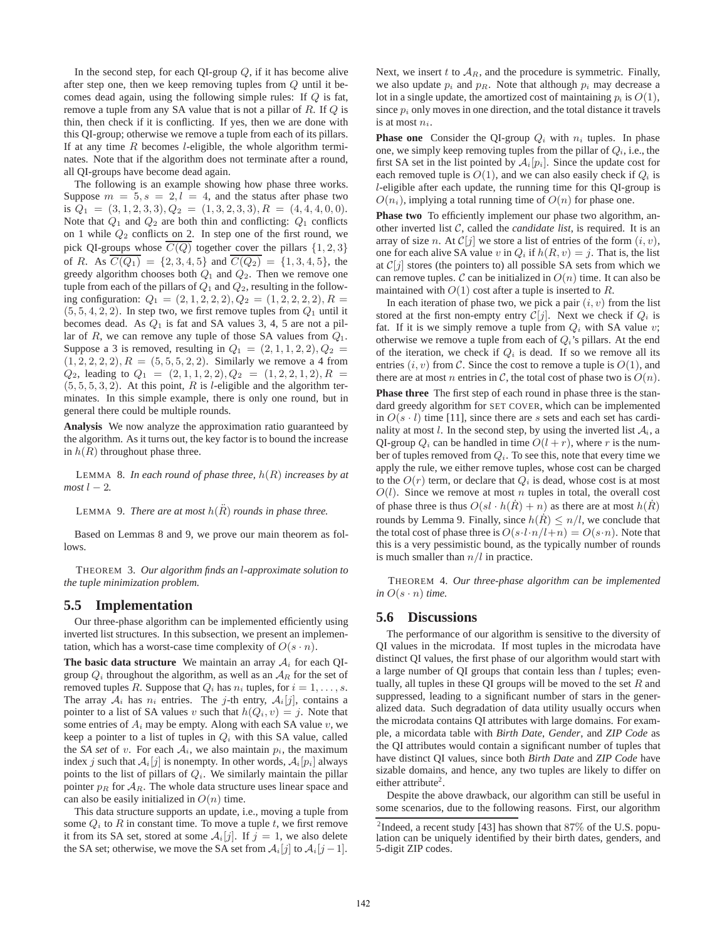In the second step, for each QI-group  $Q$ , if it has become alive after step one, then we keep removing tuples from Q until it becomes dead again, using the following simple rules: If Q is fat, remove a tuple from any SA value that is not a pillar of  $R$ . If  $Q$  is thin, then check if it is conflicting. If yes, then we are done with this QI-group; otherwise we remove a tuple from each of its pillars. If at any time  $R$  becomes *l*-eligible, the whole algorithm terminates. Note that if the algorithm does not terminate after a round, all QI-groups have become dead again.

The following is an example showing how phase three works. Suppose  $m = 5, s = 2, l = 4$ , and the status after phase two is  $Q_1 = (3, 1, 2, 3, 3), Q_2 = (1, 3, 2, 3, 3), R = (4, 4, 4, 0, 0).$ Note that  $Q_1$  and  $Q_2$  are both thin and conflicting:  $Q_1$  conflicts on 1 while  $Q_2$  conflicts on 2. In step one of the first round, we pick QI-groups whose  $\overline{C(Q)}$  together cover the pillars  $\{1, 2, 3\}$ of R. As  $\overline{C(Q_1)} = \{2, 3, 4, 5\}$  and  $\overline{C(Q_2)} = \{1, 3, 4, 5\}$ , the greedy algorithm chooses both  $Q_1$  and  $Q_2$ . Then we remove one tuple from each of the pillars of  $Q_1$  and  $Q_2$ , resulting in the following configuration:  $Q_1 = (2, 1, 2, 2, 2), Q_2 = (1, 2, 2, 2, 2), R =$  $(5, 5, 4, 2, 2)$ . In step two, we first remove tuples from  $Q_1$  until it becomes dead. As  $Q_1$  is fat and SA values 3, 4, 5 are not a pillar of R, we can remove any tuple of those SA values from  $Q_1$ . Suppose a 3 is removed, resulting in  $Q_1 = (2, 1, 1, 2, 2), Q_2 =$  $(1, 2, 2, 2, 2), R = (5, 5, 5, 2, 2).$  Similarly we remove a 4 from  $Q_2$ , leading to  $Q_1 = (2, 1, 1, 2, 2), Q_2 = (1, 2, 2, 1, 2), R =$  $(5, 5, 5, 3, 2)$ . At this point, R is *l*-eligible and the algorithm terminates. In this simple example, there is only one round, but in general there could be multiple rounds.

**Analysis** We now analyze the approximation ratio guaranteed by the algorithm. As it turns out, the key factor is to bound the increase in  $h(R)$  throughout phase three.

LEMMA 8. *In each round of phase three,* <sup>h</sup>(R) *increases by at*  $most$   $l-2$ .

LEMMA 9. *There are at most*  $h(R)$  *rounds in phase three.* 

Based on Lemmas 8 and 9, we prove our main theorem as follows.

THEOREM 3. *Our algorithm finds an* l*-approximate solution to the tuple minimization problem.*

#### **5.5 Implementation**

Our three-phase algorithm can be implemented efficiently using inverted list structures. In this subsection, we present an implementation, which has a worst-case time complexity of  $O(s \cdot n)$ .

**The basic data structure** We maintain an array  $A_i$  for each OIgroup  $Q_i$  throughout the algorithm, as well as an  $A_R$  for the set of removed tuples R. Suppose that  $Q_i$  has  $n_i$  tuples, for  $i = 1, \ldots, s$ . The array  $A_i$  has  $n_i$  entries. The j-th entry,  $A_i[j]$ , contains a pointer to a list of SA values v such that  $h(Q_i, v) = j$ . Note that some entries of  $A_i$  may be empty. Along with each SA value  $v$ , we keep a pointer to a list of tuples in Q*<sup>i</sup>* with this SA value, called the *SA set* of v. For each  $A_i$ , we also maintain  $p_i$ , the maximum index *j* such that  $A_i[j]$  is nonempty. In other words,  $A_i[p_i]$  always points to the list of pillars of Q*i*. We similarly maintain the pillar pointer  $p_R$  for  $A_R$ . The whole data structure uses linear space and can also be easily initialized in  $O(n)$  time.

This data structure supports an update, i.e., moving a tuple from some  $Q_i$  to  $R$  in constant time. To move a tuple  $t$ , we first remove it from its SA set, stored at some  $A_i[j]$ . If  $j = 1$ , we also delete the SA set; otherwise, we move the SA set from  $\mathcal{A}_i[j]$  to  $\mathcal{A}_i[j-1]$ .

Next, we insert t to  $A_R$ , and the procedure is symmetric. Finally, we also update  $p_i$  and  $p_R$ . Note that although  $p_i$  may decrease a lot in a single update, the amortized cost of maintaining  $p_i$  is  $O(1)$ , since  $p_i$  only moves in one direction, and the total distance it travels is at most n*i*.

**Phase one** Consider the QI-group  $Q_i$  with  $n_i$  tuples. In phase one, we simply keep removing tuples from the pillar of  $Q_i$ , i.e., the first SA set in the list pointed by  $A_i[p_i]$ . Since the update cost for each removed tuple is  $O(1)$ , and we can also easily check if  $Q_i$  is l-eligible after each update, the running time for this QI-group is  $O(n_i)$ , implying a total running time of  $O(n)$  for phase one.

**Phase two** To efficiently implement our phase two algorithm, another inverted list C, called the *candidate list*, is required. It is an array of size n. At  $\mathcal{C}[j]$  we store a list of entries of the form  $(i, v)$ , one for each alive SA value v in  $Q_i$  if  $h(R, v) = j$ . That is, the list at  $C[j]$  stores (the pointers to) all possible SA sets from which we can remove tuples. C can be initialized in  $O(n)$  time. It can also be maintained with  $O(1)$  cost after a tuple is inserted to R.

In each iteration of phase two, we pick a pair  $(i, v)$  from the list stored at the first non-empty entry  $C[j]$ . Next we check if  $Q_i$  is fat. If it is we simply remove a tuple from  $Q_i$  with SA value  $v$ ; otherwise we remove a tuple from each of Q*i*'s pillars. At the end of the iteration, we check if  $Q_i$  is dead. If so we remove all its entries  $(i, v)$  from C. Since the cost to remove a tuple is  $O(1)$ , and there are at most *n* entries in C, the total cost of phase two is  $O(n)$ .

**Phase three** The first step of each round in phase three is the standard greedy algorithm for SET COVER, which can be implemented in  $O(s \cdot l)$  time [11], since there are s sets and each set has cardinality at most  $l$ . In the second step, by using the inverted list  $A_i$ , a QI-group  $Q_i$  can be handled in time  $O(l + r)$ , where r is the number of tuples removed from Q*i*. To see this, note that every time we apply the rule, we either remove tuples, whose cost can be charged to the  $O(r)$  term, or declare that  $Q_i$  is dead, whose cost is at most  $O(l)$ . Since we remove at most n tuples in total, the overall cost of phase three is thus  $O(sl \cdot h(\dot{R}) + n)$  as there are at most  $h(\dot{R})$ rounds by Lemma 9. Finally, since  $h(\dot{R}) \leq n/l$ , we conclude that the total cost of phase three is  $O(s \cdot l \cdot n/l+n) = O(s \cdot n)$ . Note that this is a very pessimistic bound, as the typically number of rounds is much smaller than  $n/l$  in practice.

THEOREM 4. *Our three-phase algorithm can be implemented in*  $O(s \cdot n)$  *time.* 

## **5.6 Discussions**

The performance of our algorithm is sensitive to the diversity of QI values in the microdata. If most tuples in the microdata have distinct QI values, the first phase of our algorithm would start with a large number of QI groups that contain less than  $l$  tuples; eventually, all tuples in these QI groups will be moved to the set  $R$  and suppressed, leading to a significant number of stars in the generalized data. Such degradation of data utility usually occurs when the microdata contains QI attributes with large domains. For example, a micordata table with *Birth Date*, *Gender*, and *ZIP Code* as the QI attributes would contain a significant number of tuples that have distinct QI values, since both *Birth Date* and *ZIP Code* have sizable domains, and hence, any two tuples are likely to differ on either attribute<sup>2</sup>.

Despite the above drawback, our algorithm can still be useful in some scenarios, due to the following reasons. First, our algorithm

<sup>&</sup>lt;sup>2</sup>Indeed, a recent study [43] has shown that 87% of the U.S. popu-<br>lation can be uniquely identified by their birth dates, genders, and lation can be uniquely identified by their birth dates, genders, and 5-digit ZIP codes.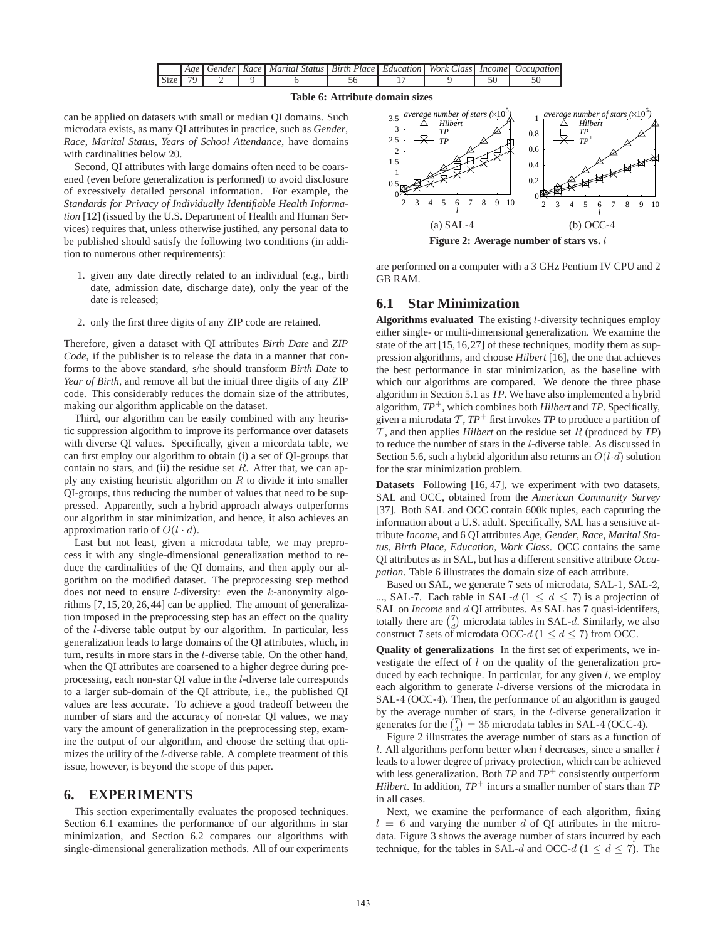

**Table 6: Attribute domain sizes**

can be applied on datasets with small or median QI domains. Such microdata exists, as many QI attributes in practice, such as *Gender*, *Race*, *Marital Status*, *Years of School Attendance*, have domains with cardinalities below 20.

Second, QI attributes with large domains often need to be coarsened (even before generalization is performed) to avoid disclosure of excessively detailed personal information. For example, the *Standards for Privacy of Individually Identifiable Health Information* [12] (issued by the U.S. Department of Health and Human Services) requires that, unless otherwise justified, any personal data to be published should satisfy the following two conditions (in addition to numerous other requirements):

- 1. given any date directly related to an individual (e.g., birth date, admission date, discharge date), only the year of the date is released;
- 2. only the first three digits of any ZIP code are retained.

Therefore, given a dataset with QI attributes *Birth Date* and *ZIP Code*, if the publisher is to release the data in a manner that conforms to the above standard, s/he should transform *Birth Date* to *Year of Birth*, and remove all but the initial three digits of any ZIP code. This considerably reduces the domain size of the attributes, making our algorithm applicable on the dataset.

Third, our algorithm can be easily combined with any heuristic suppression algorithm to improve its performance over datasets with diverse QI values. Specifically, given a micordata table, we can first employ our algorithm to obtain (i) a set of QI-groups that contain no stars, and (ii) the residue set  $R$ . After that, we can apply any existing heuristic algorithm on  $R$  to divide it into smaller QI-groups, thus reducing the number of values that need to be suppressed. Apparently, such a hybrid approach always outperforms our algorithm in star minimization, and hence, it also achieves an approximation ratio of  $O(l \cdot d)$ .

Last but not least, given a microdata table, we may preprocess it with any single-dimensional generalization method to reduce the cardinalities of the QI domains, and then apply our algorithm on the modified dataset. The preprocessing step method does not need to ensure *l*-diversity: even the *k*-anonymity algorithms [7, 15, 20, 26, 44] can be applied. The amount of generalization imposed in the preprocessing step has an effect on the quality of the l-diverse table output by our algorithm. In particular, less generalization leads to large domains of the QI attributes, which, in turn, results in more stars in the l-diverse table. On the other hand, when the QI attributes are coarsened to a higher degree during preprocessing, each non-star QI value in the l-diverse tale corresponds to a larger sub-domain of the QI attribute, i.e., the published QI values are less accurate. To achieve a good tradeoff between the number of stars and the accuracy of non-star QI values, we may vary the amount of generalization in the preprocessing step, examine the output of our algorithm, and choose the setting that optimizes the utility of the l-diverse table. A complete treatment of this issue, however, is beyond the scope of this paper.

## **6. EXPERIMENTS**

This section experimentally evaluates the proposed techniques. Section 6.1 examines the performance of our algorithms in star minimization, and Section 6.2 compares our algorithms with single-dimensional generalization methods. All of our experiments



are performed on a computer with a 3 GHz Pentium IV CPU and 2 GB RAM.

# **6.1 Star Minimization**

**Algorithms evaluated** The existing l-diversity techniques employ either single- or multi-dimensional generalization. We examine the state of the art [15,16,27] of these techniques, modify them as suppression algorithms, and choose *Hilbert* [16], the one that achieves the best performance in star minimization, as the baseline with which our algorithms are compared. We denote the three phase algorithm in Section 5.1 as *TP*. We have also implemented a hybrid algorithm, *TP*<sup>+</sup>, which combines both *Hilbert* and *TP*. Specifically, given a microdata  $\mathcal{T}$ ,  $TP^+$  first invokes  $TP$  to produce a partition of  $T$ , and then applies *Hilbert* on the residue set  $R$  (produced by  $TP$ ) to reduce the number of stars in the l-diverse table. As discussed in Section 5.6, such a hybrid algorithm also returns an  $O(l \cdot d)$  solution for the star minimization problem.

**Datasets** Following [16, 47], we experiment with two datasets, SAL and OCC, obtained from the *American Community Survey* [37]. Both SAL and OCC contain 600k tuples, each capturing the information about a U.S. adult. Specifically, SAL has a sensitive attribute *Income*, and 6 QI attributes *Age*, *Gender*, *Race*, *Marital Status*, *Birth Place*, *Education*, *Work Class*. OCC contains the same QI attributes as in SAL, but has a different sensitive attribute *Occupation*. Table 6 illustrates the domain size of each attribute.

Based on SAL, we generate 7 sets of microdata, SAL-1, SAL-2, ..., SAL-7. Each table in SAL-d  $(1 \leq d \leq 7)$  is a projection of SAL on *Income* and <sup>d</sup> QI attributes. As SAL has 7 quasi-identifers, totally there are  $\begin{pmatrix} 7 \\ d \end{pmatrix}$  microdata tables in SAL-d. Similarly, we also construct 7 sets of microdata OCC- $d$  ( $1 \le d \le 7$ ) from OCC.

**Quality of generalizations** In the first set of experiments, we investigate the effect of l on the quality of the generalization produced by each technique. In particular, for any given  $l$ , we employ each algorithm to generate l-diverse versions of the microdata in SAL-4 (OCC-4). Then, the performance of an algorithm is gauged by the average number of stars, in the l-diverse generalization it generates for the  $\binom{7}{4} = 35$  microdata tables in SAL-4 (OCC-4).<br>Figure 2 illustrates the average number of stars as a function

Figure 2 illustrates the average number of stars as a function of  $l$ . All algorithms perform better when  $l$  decreases, since a smaller  $l$ leads to a lower degree of privacy protection, which can be achieved with less generalization. Both  $TP$  and  $TP^+$  consistently outperform *Hilbert*. In addition, *TP*<sup>+</sup> incurs a smaller number of stars than *TP* in all cases.

Next, we examine the performance of each algorithm, fixing  $l = 6$  and varying the number d of QI attributes in the microdata. Figure 3 shows the average number of stars incurred by each technique, for the tables in SAL-d and OCC-d ( $1 \le d \le 7$ ). The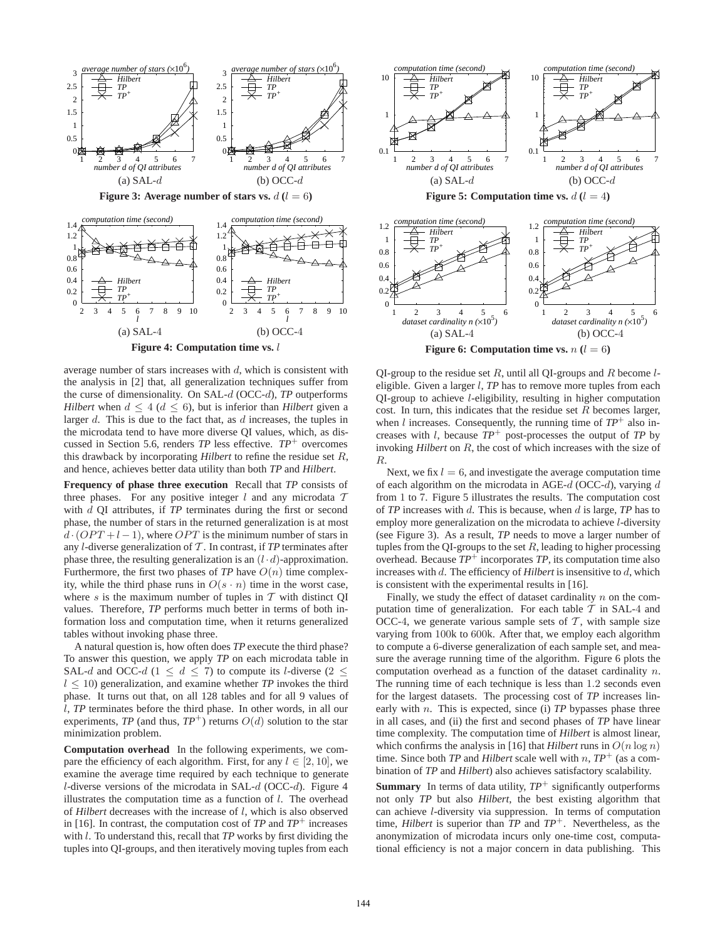

average number of stars increases with  $d$ , which is consistent with the analysis in [2] that, all generalization techniques suffer from the curse of dimensionality. On SAL-d (OCC-d), *TP* outperforms *Hilbert* when  $d \leq 4$  ( $d \leq 6$ ), but is inferior than *Hilbert* given a larger d. This is due to the fact that, as d increases, the tuples in the microdata tend to have more diverse QI values, which, as discussed in Section 5.6, renders *TP* less effective. *TP*<sup>+</sup> overcomes this drawback by incorporating *Hilbert* to refine the residue set R, and hence, achieves better data utility than both *TP* and *Hilbert*.

**Frequency of phase three execution** Recall that *TP* consists of three phases. For any positive integer  $l$  and any microdata  $T$ with d QI attributes, if *TP* terminates during the first or second phase, the number of stars in the returned generalization is at most  $d \cdot (OPT + l - 1)$ , where *OPT* is the minimum number of stars in any  $l$ -diverse generalization of  $T$ . In contrast, if  $TP$  terminates after phase three, the resulting generalization is an  $(l \cdot d)$ -approximation. Furthermore, the first two phases of  $TP$  have  $O(n)$  time complexity, while the third phase runs in  $O(s \cdot n)$  time in the worst case, where s is the maximum number of tuples in  $T$  with distinct QI values. Therefore, *TP* performs much better in terms of both information loss and computation time, when it returns generalized tables without invoking phase three.

A natural question is, how often does *TP* execute the third phase? To answer this question, we apply *TP* on each microdata table in SAL-d and OCC-d (1  $\leq d \leq 7$ ) to compute its l-diverse (2  $\leq$  $l < 10$ ) generalization, and examine whether *TP* invokes the third phase. It turns out that, on all 128 tables and for all 9 values of l, *TP* terminates before the third phase. In other words, in all our experiments, *TP* (and thus,  $TP^+$ ) returns  $O(d)$  solution to the star minimization problem.

**Computation overhead** In the following experiments, we compare the efficiency of each algorithm. First, for any  $l \in [2, 10]$ , we examine the average time required by each technique to generate *l*-diverse versions of the microdata in SAL- $d$  (OCC- $d$ ). Figure 4 illustrates the computation time as a function of  $l$ . The overhead of *Hilbert* decreases with the increase of l, which is also observed in [16]. In contrast, the computation cost of  $TP$  and  $TP<sup>+</sup>$  increases with l. To understand this, recall that *TP* works by first dividing the tuples into QI-groups, and then iteratively moving tuples from each



QI-group to the residue set  $R$ , until all QI-groups and  $R$  become  $l$ eligible. Given a larger l, *TP* has to remove more tuples from each QI-group to achieve l-eligibility, resulting in higher computation cost. In turn, this indicates that the residue set  $R$  becomes larger, when *l* increases. Consequently, the running time of  $TP^+$  also increases with *l*, because  $TP^+$  post-processes the output of  $TP$  by invoking *Hilbert* on R, the cost of which increases with the size of R.

Next, we fix  $l = 6$ , and investigate the average computation time of each algorithm on the microdata in AGE- $d$  (OCC- $d$ ), varying  $d$ from 1 to 7. Figure 5 illustrates the results. The computation cost of *TP* increases with d. This is because, when d is large, *TP* has to employ more generalization on the microdata to achieve l-diversity (see Figure 3). As a result, *TP* needs to move a larger number of tuples from the QI-groups to the set  $R$ , leading to higher processing overhead. Because  $TP^+$  incorporates  $TP$ , its computation time also increases with d. The efficiency of *Hilbert* is insensitive to d, which is consistent with the experimental results in [16].

Finally, we study the effect of dataset cardinality  $n$  on the computation time of generalization. For each table  $T$  in SAL-4 and OCC-4, we generate various sample sets of  $\mathcal T$ , with sample size varying from 100k to 600k. After that, we employ each algorithm to compute a 6-diverse generalization of each sample set, and measure the average running time of the algorithm. Figure 6 plots the computation overhead as a function of the dataset cardinality n. The running time of each technique is less than 1.2 seconds even for the largest datasets. The processing cost of *TP* increases linearly with n. This is expected, since (i) *TP* bypasses phase three in all cases, and (ii) the first and second phases of *TP* have linear time complexity. The computation time of *Hilbert* is almost linear, which confirms the analysis in [16] that *Hilbert* runs in  $O(n \log n)$ time. Since both *TP* and *Hilbert* scale well with  $n$ ,  $TP^+$  (as a combination of *TP* and *Hilbert*) also achieves satisfactory scalability.

**Summary** In terms of data utility,  $TP^+$  significantly outperforms not only *TP* but also *Hilbert*, the best existing algorithm that can achieve l-diversity via suppression. In terms of computation time, *Hilbert* is superior than *TP* and *TP*<sup>+</sup>. Nevertheless, as the anonymization of microdata incurs only one-time cost, computational efficiency is not a major concern in data publishing. This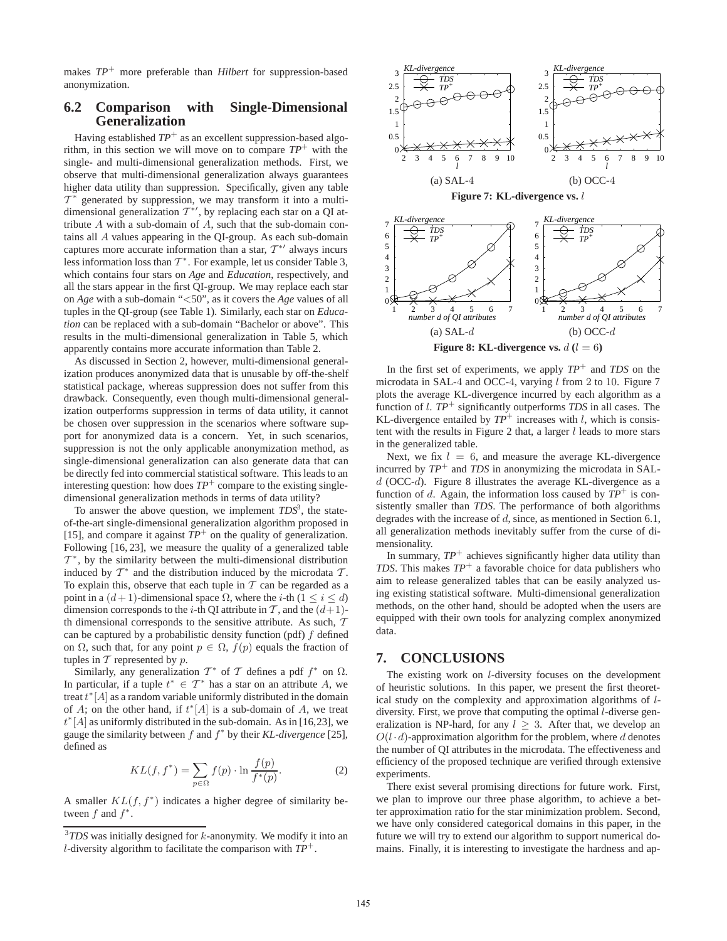makes *TP*<sup>+</sup> more preferable than *Hilbert* for suppression-based anonymization.

## **6.2 Comparison with Single-Dimensional Generalization**

Having established  $TP^+$  as an excellent suppression-based algorithm, in this section we will move on to compare  $TP^+$  with the single- and multi-dimensional generalization methods. First, we observe that multi-dimensional generalization always guarantees higher data utility than suppression. Specifically, given any table  $T^*$  generated by suppression, we may transform it into a multidimensional generalization  $T^*$ , by replacing each star on a QI attribute A with a sub-domain of A, such that the sub-domain contains all A values appearing in the QI-group. As each sub-domain captures more accurate information than a star,  $T^*$  always incurs less information loss than  $T^*$ . For example, let us consider Table 3, which contains four stars on *Age* and *Education*, respectively, and all the stars appear in the first QI-group. We may replace each star on *Age* with a sub-domain "<50", as it covers the *Age* values of all tuples in the QI-group (see Table 1). Similarly, each star on *Education* can be replaced with a sub-domain "Bachelor or above". This results in the multi-dimensional generalization in Table 5, which apparently contains more accurate information than Table 2.

As discussed in Section 2, however, multi-dimensional generalization produces anonymized data that is unusable by off-the-shelf statistical package, whereas suppression does not suffer from this drawback. Consequently, even though multi-dimensional generalization outperforms suppression in terms of data utility, it cannot be chosen over suppression in the scenarios where software support for anonymized data is a concern. Yet, in such scenarios, suppression is not the only applicable anonymization method, as single-dimensional generalization can also generate data that can be directly fed into commercial statistical software. This leads to an interesting question: how does  $TP^+$  compare to the existing singledimensional generalization methods in terms of data utility?

To answer the above question, we implement *TDS*<sup>3</sup>, the stateof-the-art single-dimensional generalization algorithm proposed in [15], and compare it against  $TP^+$  on the quality of generalization. Following [16, 23], we measure the quality of a generalized table  $\mathcal{T}^*$ , by the similarity between the multi-dimensional distribution induced by  $T^*$  and the distribution induced by the microdata  $T$ . To explain this, observe that each tuple in  $T$  can be regarded as a point in a  $(d+1)$ -dimensional space  $\Omega$ , where the *i*-th  $(1 \le i \le d)$ dimension corresponds to the *i*-th QI attribute in  $\mathcal{T}$ , and the  $(d+1)$ th dimensional corresponds to the sensitive attribute. As such,  $T$ can be captured by a probabilistic density function (pdf)  $f$  defined on  $\Omega$ , such that, for any point  $p \in \Omega$ ,  $f(p)$  equals the fraction of tuples in  $T$  represented by  $p$ .

Similarly, any generalization  $T^*$  of T defines a pdf  $f^*$  on  $\Omega$ . In particular, if a tuple  $t^* \in \mathcal{T}^*$  has a star on an attribute A, we treat  $t^*[A]$  as a random variable uniformly distributed in the domain<br>of  $A$ ; on the other hand, if  $t^*[A]$  is a sub-domain of  $A$ , we treat of A; on the other hand, if  $t^*[A]$  is a sub-domain of A, we treat  $t^{*}[A]$  as uniformly distributed in the sub-domain. As in [16.23] we  $t^*[A]$  as uniformly distributed in the sub-domain. As in [16,23], we gauge the similarity between f and  $f^*$  by their KL-divergence [25] gauge the similarity between f and f<sup>∗</sup> by their *KL-divergence* [25], defined as

$$
KL(f, f^*) = \sum_{p \in \Omega} f(p) \cdot \ln \frac{f(p)}{f^*(p)}.
$$
 (2)

A smaller  $KL(f, f^*)$  indicates a higher degree of similarity between  $f$  and  $f^*$ .





In the first set of experiments, we apply  $TP^+$  and  $TDS$  on the microdata in SAL-4 and OCC-4, varying  $l$  from 2 to 10. Figure 7 plots the average KL-divergence incurred by each algorithm as a function of l. *TP*<sup>+</sup> significantly outperforms *TDS* in all cases. The KL-divergence entailed by  $TP^+$  increases with l, which is consistent with the results in Figure 2 that, a larger  $l$  leads to more stars in the generalized table.

Next, we fix  $l = 6$ , and measure the average KL-divergence incurred by  $TP^+$  and  $TDS$  in anonymizing the microdata in SAL $d$  (OCC- $d$ ). Figure 8 illustrates the average KL-divergence as a function of d. Again, the information loss caused by  $TP^+$  is consistently smaller than *TDS*. The performance of both algorithms degrades with the increase of d, since, as mentioned in Section 6.1, all generalization methods inevitably suffer from the curse of dimensionality.

In summary,  $TP^+$  achieves significantly higher data utility than *TDS*. This makes  $TP^+$  a favorable choice for data publishers who aim to release generalized tables that can be easily analyzed using existing statistical software. Multi-dimensional generalization methods, on the other hand, should be adopted when the users are equipped with their own tools for analyzing complex anonymized data.

## **7. CONCLUSIONS**

The existing work on l-diversity focuses on the development of heuristic solutions. In this paper, we present the first theoretical study on the complexity and approximation algorithms of ldiversity. First, we prove that computing the optimal *l*-diverse generalization is NP-hard, for any  $l > 3$ . After that, we develop an  $O(l \cdot d)$ -approximation algorithm for the problem, where d denotes the number of QI attributes in the microdata. The effectiveness and efficiency of the proposed technique are verified through extensive experiments.

There exist several promising directions for future work. First, we plan to improve our three phase algorithm, to achieve a better approximation ratio for the star minimization problem. Second, we have only considered categorical domains in this paper, in the future we will try to extend our algorithm to support numerical domains. Finally, it is interesting to investigate the hardness and ap